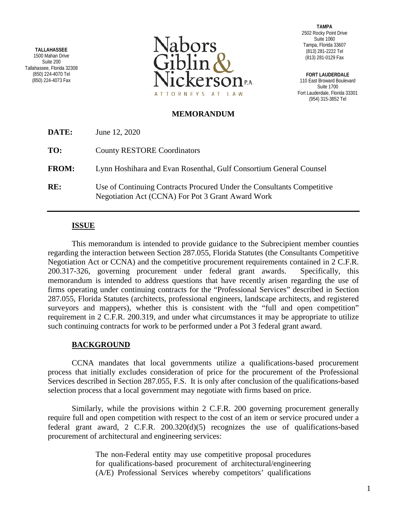**TALLAHASSEE** 1500 Mahan Drive Suite 200 Tallahassee, Florida 32308 (850) 224-4070 Tel (850) 224-4073 Fax



**TAMPA** 2502 Rocky Point Drive Suite 1060 Tampa, Florida 33607 (813) 281-2222 Tel (813) 281-0129 Fax

**FORT LAUDERDALE** 110 East Broward Boulevard Suite 1700 Fort Lauderdale, Florida 33301 (954) 315-3852 Tel

## **MEMORANDUM**

| DATE:        | June 12, 2020                                                                                                               |
|--------------|-----------------------------------------------------------------------------------------------------------------------------|
| TO:          | <b>County RESTORE Coordinators</b>                                                                                          |
| <b>FROM:</b> | Lynn Hoshihara and Evan Rosenthal, Gulf Consortium General Counsel                                                          |
| RE:          | Use of Continuing Contracts Procured Under the Consultants Competitive<br>Negotiation Act (CCNA) For Pot 3 Grant Award Work |

## **ISSUE**

This memorandum is intended to provide guidance to the Subrecipient member counties regarding the interaction between Section 287.055, Florida Statutes (the Consultants Competitive Negotiation Act or CCNA) and the competitive procurement requirements contained in 2 C.F.R. 200.317-326, governing procurement under federal grant awards. Specifically, this memorandum is intended to address questions that have recently arisen regarding the use of firms operating under continuing contracts for the "Professional Services" described in Section 287.055, Florida Statutes (architects, professional engineers, landscape architects, and registered surveyors and mappers), whether this is consistent with the "full and open competition" requirement in 2 C.F.R. 200.319, and under what circumstances it may be appropriate to utilize such continuing contracts for work to be performed under a Pot 3 federal grant award.

## **BACKGROUND**

CCNA mandates that local governments utilize a qualifications-based procurement process that initially excludes consideration of price for the procurement of the Professional Services described in Section 287.055, F.S. It is only after conclusion of the qualifications-based selection process that a local government may negotiate with firms based on price.

Similarly, while the provisions within 2 C.F.R. 200 governing procurement generally require full and open competition with respect to the cost of an item or service procured under a federal grant award, 2 C.F.R. 200.320(d)(5) recognizes the use of qualifications-based procurement of architectural and engineering services:

> The non-Federal entity may use competitive proposal procedures for qualifications-based procurement of architectural/engineering (A/E) Professional Services whereby competitors' qualifications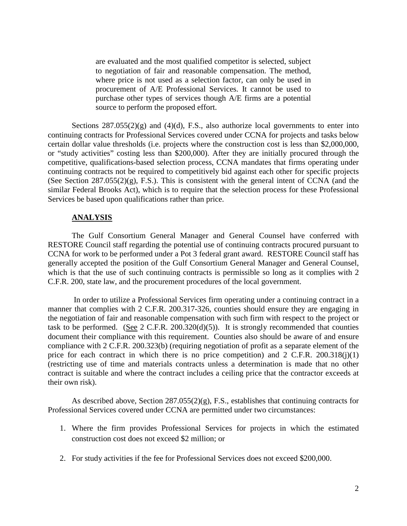are evaluated and the most qualified competitor is selected, subject to negotiation of fair and reasonable compensation. The method, where price is not used as a selection factor, can only be used in procurement of A/E Professional Services. It cannot be used to purchase other types of services though A/E firms are a potential source to perform the proposed effort.

Sections  $287.055(2)(g)$  and  $(4)(d)$ , F.S., also authorize local governments to enter into continuing contracts for Professional Services covered under CCNA for projects and tasks below certain dollar value thresholds (i.e. projects where the construction cost is less than \$2,000,000, or "study activities" costing less than \$200,000). After they are initially procured through the competitive, qualifications-based selection process, CCNA mandates that firms operating under continuing contracts not be required to competitively bid against each other for specific projects (See Section  $287.055(2)(g)$ , F.S.). This is consistent with the general intent of CCNA (and the similar Federal Brooks Act), which is to require that the selection process for these Professional Services be based upon qualifications rather than price.

## **ANALYSIS**

The Gulf Consortium General Manager and General Counsel have conferred with RESTORE Council staff regarding the potential use of continuing contracts procured pursuant to CCNA for work to be performed under a Pot 3 federal grant award. RESTORE Council staff has generally accepted the position of the Gulf Consortium General Manager and General Counsel, which is that the use of such continuing contracts is permissible so long as it complies with 2 C.F.R. 200, state law, and the procurement procedures of the local government.

In order to utilize a Professional Services firm operating under a continuing contract in a manner that complies with 2 C.F.R. 200.317-326, counties should ensure they are engaging in the negotiation of fair and reasonable compensation with such firm with respect to the project or task to be performed. (See 2 C.F.R. 200.320(d)(5)). It is strongly recommended that counties document their compliance with this requirement. Counties also should be aware of and ensure compliance with 2 C.F.R. 200.323(b) (requiring negotiation of profit as a separate element of the price for each contract in which there is no price competition) and  $2 \text{ C.F.R. } 200.318(j)(1)$ (restricting use of time and materials contracts unless a determination is made that no other contract is suitable and where the contract includes a ceiling price that the contractor exceeds at their own risk).

As described above, Section 287.055(2)(g), F.S., establishes that continuing contracts for Professional Services covered under CCNA are permitted under two circumstances:

- 1. Where the firm provides Professional Services for projects in which the estimated construction cost does not exceed \$2 million; or
- 2. For study activities if the fee for Professional Services does not exceed \$200,000.